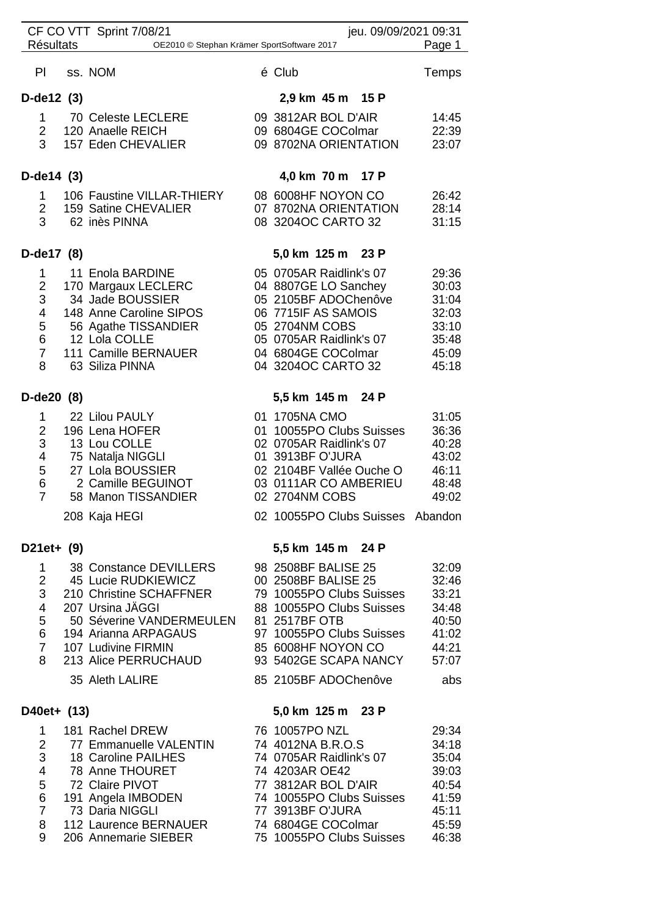| <b>Résultats</b>    | CF CO VTT Sprint 7/08/21                    | jeu. 09/09/2021 09:31<br>Page 1<br>OE2010 © Stephan Krämer SportSoftware 2017 |
|---------------------|---------------------------------------------|-------------------------------------------------------------------------------|
| PI                  | ss. NOM                                     | é Club<br>Temps                                                               |
| $D$ -de12 $(3)$     |                                             | 2,9 km 45 m 15 P                                                              |
|                     | 1 70 Celeste LECLERE                        | 09 3812AR BOL D'AIR<br>14:45                                                  |
| $2\overline{ }$     | 120 Anaelle REICH                           | 09 6804GE COColmar<br>22:39                                                   |
| 3                   | 157 Eden CHEVALIER                          | 09 8702NA ORIENTATION<br>23:07                                                |
| D-de $14(3)$        |                                             | 4,0 km 70 m 17 P                                                              |
| $1 \quad$           | 106 Faustine VILLAR-THIERY                  | 08 6008HF NOYON CO<br>26:42                                                   |
| $2^{\circ}$         | 159 Satine CHEVALIER                        | 07 8702NA ORIENTATION<br>28:14                                                |
| 3                   | 62 inès PINNA                               | 08 3204OC CARTO 32<br>31:15                                                   |
| D-de17 (8)          |                                             | 5,0 km 125 m 23 P                                                             |
| $\mathbf{1}$        | 11 Enola BARDINE                            | 05 0705AR Raidlink's 07<br>29:36                                              |
| $\overline{2}$<br>3 | 170 Margaux LECLERC<br>34 Jade BOUSSIER     | 04 8807GE LO Sanchey<br>30:03<br>05 2105BF ADOChenôve<br>31:04                |
| 4                   | 148 Anne Caroline SIPOS                     | 06 7715IF AS SAMOIS<br>32:03                                                  |
| 5                   | 56 Agathe TISSANDIER                        | 05 2704NM COBS<br>33:10                                                       |
| 6                   | 12 Lola COLLE                               | 05 0705AR Raidlink's 07<br>35:48                                              |
| $\overline{7}$      | 111 Camille BERNAUER                        | 04 6804GE COColmar<br>45:09                                                   |
| 8                   | 63 Siliza PINNA                             | 04 3204OC CARTO 32<br>45:18                                                   |
| D-de20 (8)          |                                             | 5,5 km 145 m 24 P                                                             |
| $\mathbf{1}$        | 22 Lilou PAULY                              | 01 1705NA CMO<br>31:05                                                        |
| $\overline{2}$      | 196 Lena HOFER                              | 01 10055PO Clubs Suisses<br>36:36                                             |
| 3<br>4              | 13 Lou COLLE<br>75 Natalja NIGGLI           | 02 0705AR Raidlink's 07<br>40:28<br>01 3913BF O'JURA<br>43:02                 |
| 5                   | 27 Lola BOUSSIER                            | 02 2104BF Vallée Ouche O<br>46:11                                             |
| 6                   | 2 Camille BEGUINOT                          | 03 0111AR CO AMBERIEU<br>48:48                                                |
| $\overline{7}$      | 58 Manon TISSANDIER                         | 02 2704NM COBS<br>49:02                                                       |
|                     | 208 Kaja HEGI                               | 02 10055PO Clubs Suisses Abandon                                              |
| $D21et+ (9)$        |                                             | 5,5 km 145 m 24 P                                                             |
| $\mathbf{1}$        | 38 Constance DEVILLERS                      | 98 2508BF BALISE 25<br>32:09                                                  |
| $\overline{2}$      | 45 Lucie RUDKIEWICZ                         | 00 2508BF BALISE 25<br>32:46                                                  |
| 3                   | 210 Christine SCHAFFNER<br>207 Ursina JÄGGI | 79 10055PO Clubs Suisses<br>33:21<br>88 10055PO Clubs Suisses                 |
| 4<br>5              | 50 Séverine VANDERMEULEN                    | 34:48<br>81 2517BF OTB<br>40:50                                               |
| 6                   | 194 Arianna ARPAGAUS                        | 97 10055PO Clubs Suisses<br>41:02                                             |
| $\overline{7}$      | 107 Ludivine FIRMIN                         | 85 6008HF NOYON CO<br>44:21                                                   |
| 8                   | 213 Alice PERRUCHAUD                        | 93 5402GE SCAPA NANCY<br>57:07                                                |
|                     | 35 Aleth LALIRE                             | 85 2105BF ADOChenôve<br>abs                                                   |
| D40et+ (13)         |                                             | 5,0 km 125 m 23 P                                                             |
| $\mathbf{1}$        | 181 Rachel DREW                             | 76 10057PO NZL<br>29:34                                                       |
| $\overline{2}$      | 77 Emmanuelle VALENTIN                      | 74 4012NA B.R.O.S<br>34:18                                                    |
| 3<br>$\overline{4}$ | 18 Caroline PAILHES<br>78 Anne THOURET      | 74 0705AR Raidlink's 07<br>35:04<br>74 4203AR OE42                            |
| 5                   | 72 Claire PIVOT                             | 39:03<br>77 3812AR BOL D'AIR<br>40:54                                         |
| 6                   | 191 Angela IMBODEN                          | 74 10055PO Clubs Suisses<br>41:59                                             |
| $\overline{7}$      | 73 Daria NIGGLI                             | 77 3913BF O'JURA<br>45:11                                                     |
| 8                   | 112 Laurence BERNAUER                       | 74 6804GE COColmar<br>45:59                                                   |
| 9                   | 206 Annemarie SIEBER                        | 75 10055PO Clubs Suisses<br>46:38                                             |
|                     |                                             |                                                                               |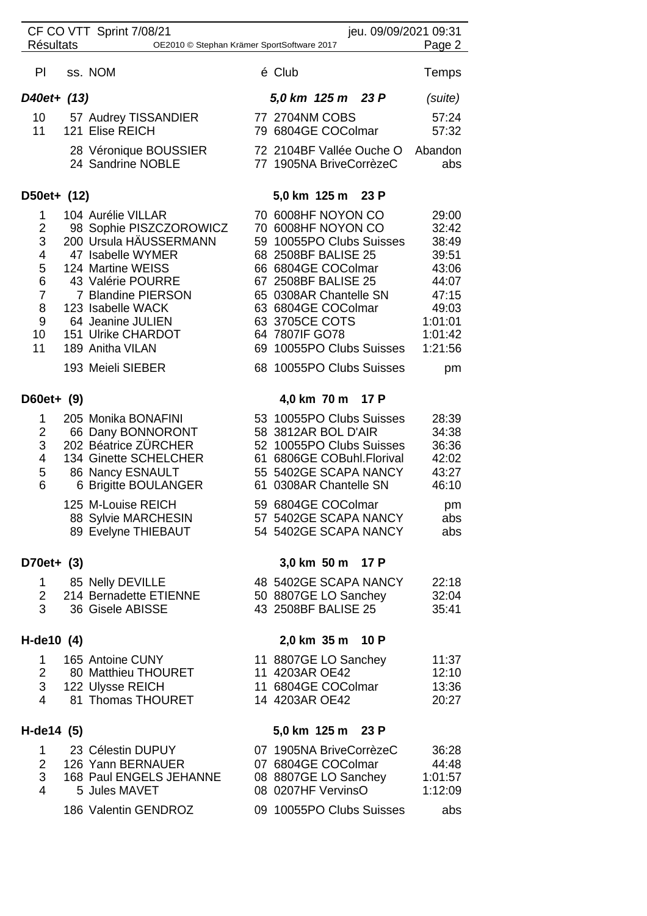| CF CO VTT Sprint 7/08/21<br>jeu. 09/09/2021 09:31                               |  |                                                                                                                                                                                                                                                                       |  |                                  |                                                                                                                                                              |                                                                                                                                     |                                                                                                             |
|---------------------------------------------------------------------------------|--|-----------------------------------------------------------------------------------------------------------------------------------------------------------------------------------------------------------------------------------------------------------------------|--|----------------------------------|--------------------------------------------------------------------------------------------------------------------------------------------------------------|-------------------------------------------------------------------------------------------------------------------------------------|-------------------------------------------------------------------------------------------------------------|
| <b>Résultats</b><br>Page 2<br>OE2010 © Stephan Krämer SportSoftware 2017        |  |                                                                                                                                                                                                                                                                       |  |                                  |                                                                                                                                                              |                                                                                                                                     |                                                                                                             |
| PI.                                                                             |  | ss. NOM                                                                                                                                                                                                                                                               |  | é Club                           |                                                                                                                                                              |                                                                                                                                     | Temps                                                                                                       |
| D40et+ (13)                                                                     |  |                                                                                                                                                                                                                                                                       |  |                                  | 5,0 km 125 m 23 P                                                                                                                                            |                                                                                                                                     | (suite)                                                                                                     |
| 10<br>11                                                                        |  | 57 Audrey TISSANDIER<br>121 Elise REICH                                                                                                                                                                                                                               |  | 77 2704NM COBS                   | 79 6804GE COColmar                                                                                                                                           |                                                                                                                                     | 57:24<br>57:32                                                                                              |
|                                                                                 |  | 28 Véronique BOUSSIER<br>24 Sandrine NOBLE                                                                                                                                                                                                                            |  |                                  | 77 1905NA BriveCorrèzeC                                                                                                                                      | 72 2104BF Vallée Ouche O                                                                                                            | Abandon<br>abs                                                                                              |
| D50et+ (12)                                                                     |  |                                                                                                                                                                                                                                                                       |  | 5,0 km 125 m                     |                                                                                                                                                              | 23 P                                                                                                                                |                                                                                                             |
| 1<br>$\overline{2}$<br>3<br>4<br>5<br>6<br>$\overline{7}$<br>8<br>9<br>10<br>11 |  | 104 Aurélie VILLAR<br>98 Sophie PISZCZOROWICZ<br>200 Ursula HÄUSSERMANN<br>47 Isabelle WYMER<br>124 Martine WEISS<br>43 Valérie POURRE<br>7 Blandine PIERSON<br>123 Isabelle WACK<br>64 Jeanine JULIEN<br>151 Ulrike CHARDOT<br>189 Anitha VILAN<br>193 Meieli SIEBER |  | 63 3705CE COTS<br>64 7807IF GO78 | 70 6008HF NOYON CO<br>70 6008HF NOYON CO<br>68 2508BF BALISE 25<br>66 6804GE COColmar<br>67 2508BF BALISE 25<br>65 0308AR Chantelle SN<br>63 6804GE COColmar | 59 10055PO Clubs Suisses<br>69 10055PO Clubs Suisses<br>68 10055PO Clubs Suisses                                                    | 29:00<br>32:42<br>38:49<br>39:51<br>43:06<br>44:07<br>47:15<br>49:03<br>1:01:01<br>1:01:42<br>1:21:56<br>pm |
| D60et+ (9)                                                                      |  |                                                                                                                                                                                                                                                                       |  |                                  | 4,0 km 70 m                                                                                                                                                  | 17 P                                                                                                                                |                                                                                                             |
| 1<br>2<br>3<br>4<br>5<br>6                                                      |  | 205 Monika BONAFINI<br>66 Dany BONNORONT<br>202 Béatrice ZÜRCHER<br>134 Ginette SCHELCHER<br>86 Nancy ESNAULT<br>6 Brigitte BOULANGER<br>125 M-Louise REICH<br>88 Sylvie MARCHESIN                                                                                    |  |                                  | 58 3812AR BOL D'AIR<br>61 0308AR Chantelle SN<br>59 6804GE COColmar                                                                                          | 53 10055PO Clubs Suisses<br>52 10055PO Clubs Suisses<br>61 6806GE COBuhl.Florival<br>55 5402GE SCAPA NANCY<br>57 5402GE SCAPA NANCY | 28:39<br>34:38<br>36:36<br>42:02<br>43:27<br>46:10<br>pm<br>abs                                             |
|                                                                                 |  | 89 Evelyne THIEBAUT                                                                                                                                                                                                                                                   |  |                                  |                                                                                                                                                              | 54 5402GE SCAPA NANCY                                                                                                               | abs                                                                                                         |
| D70et+ (3)                                                                      |  |                                                                                                                                                                                                                                                                       |  |                                  | 3,0 km 50 m 17 P                                                                                                                                             |                                                                                                                                     |                                                                                                             |
| 3                                                                               |  | 1 85 Nelly DEVILLE<br>2 214 Bernadette ETIENNE<br>36 Gisele ABISSE                                                                                                                                                                                                    |  |                                  | 50 8807GE LO Sanchey<br>43 2508BF BALISE 25                                                                                                                  | 48 5402GE SCAPA NANCY                                                                                                               | 22:18<br>32:04<br>35:41                                                                                     |
| H-de10 (4)                                                                      |  |                                                                                                                                                                                                                                                                       |  |                                  | 2,0 km 35 m 10 P                                                                                                                                             |                                                                                                                                     |                                                                                                             |
| $\mathbf{1}$<br>$2 \quad$<br>4                                                  |  | 165 Antoine CUNY<br>80 Matthieu THOURET<br>3 122 Ulysse REICH<br>81 Thomas THOURET                                                                                                                                                                                    |  | 11 4203AR OE42<br>14 4203AR OE42 | 11 8807GE LO Sanchey<br>11 6804GE COColmar                                                                                                                   |                                                                                                                                     | 11:37<br>12:10<br>13:36<br>20:27                                                                            |
| H-de14 (5)<br>5,0 km 125 m 23 P                                                 |  |                                                                                                                                                                                                                                                                       |  |                                  |                                                                                                                                                              |                                                                                                                                     |                                                                                                             |
| $\mathbf 1$<br>$3 -$<br>4                                                       |  | 23 Célestin DUPUY<br>2 126 Yann BERNAUER<br>168 Paul ENGELS JEHANNE<br>5 Jules MAVET<br>186 Valentin GENDROZ                                                                                                                                                          |  |                                  | 07 1905NA BriveCorrèzeC<br>07 6804GE COColmar<br>08 0207HF VervinsO                                                                                          | 08 8807GE LO Sanchey<br>09 10055PO Clubs Suisses                                                                                    | 36:28<br>44:48<br>1:01:57<br>1:12:09<br>abs                                                                 |
|                                                                                 |  |                                                                                                                                                                                                                                                                       |  |                                  |                                                                                                                                                              |                                                                                                                                     |                                                                                                             |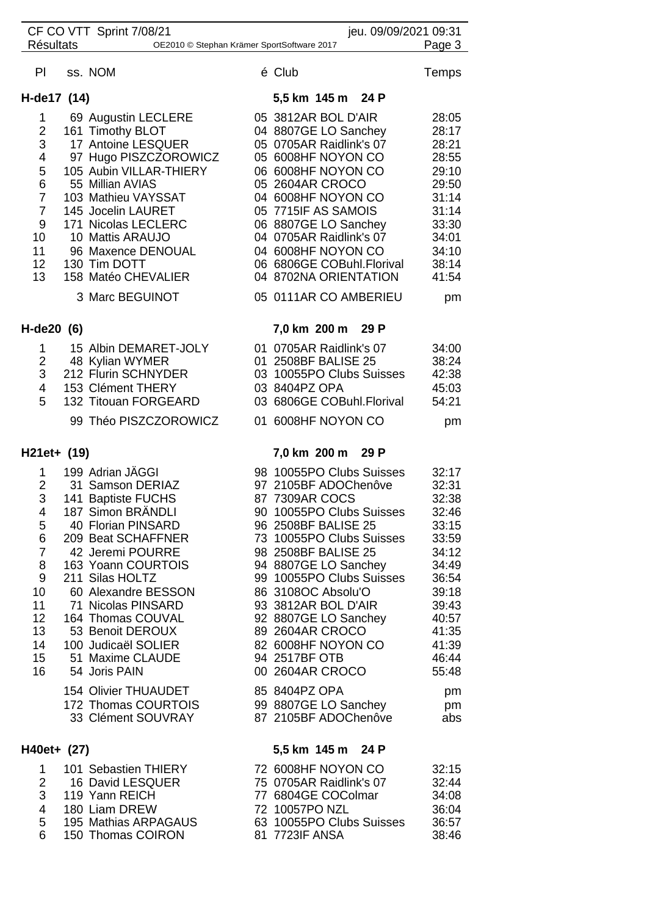| CF CO VTT Sprint 7/08/21<br><b>Résultats</b><br>OE2010 © Stephan Krämer SportSoftware 2017 |  |                                                  |  |                                                    | jeu. 09/09/2021 09:31<br>Page 3 |  |  |  |
|--------------------------------------------------------------------------------------------|--|--------------------------------------------------|--|----------------------------------------------------|---------------------------------|--|--|--|
|                                                                                            |  |                                                  |  |                                                    |                                 |  |  |  |
| PI                                                                                         |  | ss. NOM                                          |  | é Club                                             | Temps                           |  |  |  |
| 5,5 km 145 m 24 P<br>H-de17 (14)                                                           |  |                                                  |  |                                                    |                                 |  |  |  |
| 1                                                                                          |  | 69 Augustin LECLERE                              |  | 05 3812AR BOL D'AIR                                | 28:05                           |  |  |  |
| $\overline{2}$                                                                             |  | 161 Timothy BLOT                                 |  | 04 8807GE LO Sanchey                               | 28:17                           |  |  |  |
| $\sqrt{3}$                                                                                 |  | 17 Antoine LESQUER                               |  | 05 0705AR Raidlink's 07                            | 28:21                           |  |  |  |
| $\overline{4}$                                                                             |  | 97 Hugo PISZCZOROWICZ<br>105 Aubin VILLAR-THIERY |  | 05 6008HF NOYON CO                                 | 28:55                           |  |  |  |
| 5<br>6                                                                                     |  | 55 Millian AVIAS                                 |  | 06 6008HF NOYON CO<br>05 2604AR CROCO              | 29:10<br>29:50                  |  |  |  |
| $\overline{7}$                                                                             |  | 103 Mathieu VAYSSAT                              |  | 04 6008HF NOYON CO                                 | 31:14                           |  |  |  |
| $\overline{7}$                                                                             |  | 145 Jocelin LAURET                               |  | 05 7715IF AS SAMOIS                                | 31:14                           |  |  |  |
| 9                                                                                          |  | 171 Nicolas LECLERC                              |  | 06 8807GE LO Sanchey                               | 33:30                           |  |  |  |
| 10                                                                                         |  | 10 Mattis ARAUJO                                 |  | 04 0705AR Raidlink's 07                            | 34:01                           |  |  |  |
| 11                                                                                         |  | 96 Maxence DENOUAL                               |  | 04 6008HF NOYON CO                                 | 34:10                           |  |  |  |
| 12<br>13                                                                                   |  | 130 Tim DOTT<br>158 Matéo CHEVALIER              |  | 06 6806GE COBuhl.Florival<br>04 8702NA ORIENTATION | 38:14<br>41:54                  |  |  |  |
|                                                                                            |  | 3 Marc BEGUINOT                                  |  | 05 0111AR CO AMBERIEU                              | pm                              |  |  |  |
|                                                                                            |  |                                                  |  |                                                    |                                 |  |  |  |
| $H-de20(6)$                                                                                |  |                                                  |  | 7,0 km 200 m 29 P                                  |                                 |  |  |  |
| 1                                                                                          |  | 15 Albin DEMARET-JOLY                            |  | 01 0705AR Raidlink's 07                            | 34:00                           |  |  |  |
| $\overline{2}$<br>3                                                                        |  | 48 Kylian WYMER<br>212 Flurin SCHNYDER           |  | 01 2508BF BALISE 25<br>03 10055PO Clubs Suisses    | 38:24<br>42:38                  |  |  |  |
| 4                                                                                          |  | 153 Clément THERY                                |  | 03 8404PZ OPA                                      | 45:03                           |  |  |  |
| 5                                                                                          |  | 132 Titouan FORGEARD                             |  | 03 6806GE COBuhl.Florival                          | 54:21                           |  |  |  |
|                                                                                            |  | 99 Théo PISZCZOROWICZ                            |  | 01 6008HF NOYON CO                                 | pm                              |  |  |  |
| H21et+ (19)                                                                                |  |                                                  |  | 7,0 km 200 m 29 P                                  |                                 |  |  |  |
| 1                                                                                          |  | 199 Adrian JÄGGI                                 |  | 98 10055PO Clubs Suisses                           | 32:17                           |  |  |  |
| $\overline{2}$                                                                             |  | 31 Samson DERIAZ                                 |  | 97 2105BF ADOChenôve                               | 32:31                           |  |  |  |
| 3                                                                                          |  | 141 Baptiste FUCHS                               |  | 87 7309AR COCS                                     | 32:38                           |  |  |  |
| 4                                                                                          |  | 187 Simon BRANDLI                                |  | 90 10055PO Clubs Suisses                           | 32:46                           |  |  |  |
| 5<br>6                                                                                     |  | 40 Florian PINSARD<br>209 Beat SCHAFFNER         |  | 96 2508BF BALISE 25<br>73 10055PO Clubs Suisses    | 33:15<br>33:59                  |  |  |  |
| $\overline{7}$                                                                             |  | 42 Jeremi POURRE                                 |  | 98 2508BF BALISE 25                                | 34:12                           |  |  |  |
| 8                                                                                          |  | 163 Yoann COURTOIS                               |  | 94 8807GE LO Sanchey                               | 34:49                           |  |  |  |
| 9                                                                                          |  | 211 Silas HOLTZ                                  |  | 99 10055PO Clubs Suisses                           | 36:54                           |  |  |  |
| 10                                                                                         |  | 60 Alexandre BESSON                              |  | 86 3108OC Absolu'O                                 | 39:18                           |  |  |  |
| 11<br>12                                                                                   |  | 71 Nicolas PINSARD<br>164 Thomas COUVAL          |  | 93 3812AR BOL D'AIR<br>92 8807GE LO Sanchey        | 39:43<br>40:57                  |  |  |  |
| 13                                                                                         |  | 53 Benoit DEROUX                                 |  | 89 2604AR CROCO                                    | 41:35                           |  |  |  |
| 14                                                                                         |  | 100 Judicaël SOLIER                              |  | 82 6008HF NOYON CO                                 | 41:39                           |  |  |  |
| 15                                                                                         |  | 51 Maxime CLAUDE                                 |  | 94 2517BF OTB                                      | 46:44                           |  |  |  |
| 16                                                                                         |  | 54 Joris PAIN                                    |  | 00 2604AR CROCO                                    | 55:48                           |  |  |  |
|                                                                                            |  | 154 Olivier THUAUDET                             |  | 85 8404PZ OPA                                      | pm                              |  |  |  |
|                                                                                            |  | 172 Thomas COURTOIS<br>33 Clément SOUVRAY        |  | 99 8807GE LO Sanchey<br>87 2105BF ADOChenôve       | pm<br>abs                       |  |  |  |
| H40et+ (27)                                                                                |  |                                                  |  |                                                    |                                 |  |  |  |
|                                                                                            |  |                                                  |  | 5,5 km 145 m 24 P                                  |                                 |  |  |  |
| 1<br>$\overline{2}$                                                                        |  | 101 Sebastien THIERY<br>16 David LESQUER         |  | 72 6008HF NOYON CO<br>75 0705AR Raidlink's 07      | 32:15<br>32:44                  |  |  |  |
| 3                                                                                          |  | 119 Yann REICH                                   |  | 77 6804GE COColmar                                 | 34:08                           |  |  |  |
| 4                                                                                          |  | 180 Liam DREW                                    |  | 72 10057PO NZL                                     | 36:04                           |  |  |  |
| 5                                                                                          |  | 195 Mathias ARPAGAUS                             |  | 63 10055PO Clubs Suisses                           | 36:57                           |  |  |  |
| 6                                                                                          |  | 150 Thomas COIRON                                |  | 81 7723IF ANSA                                     | 38:46                           |  |  |  |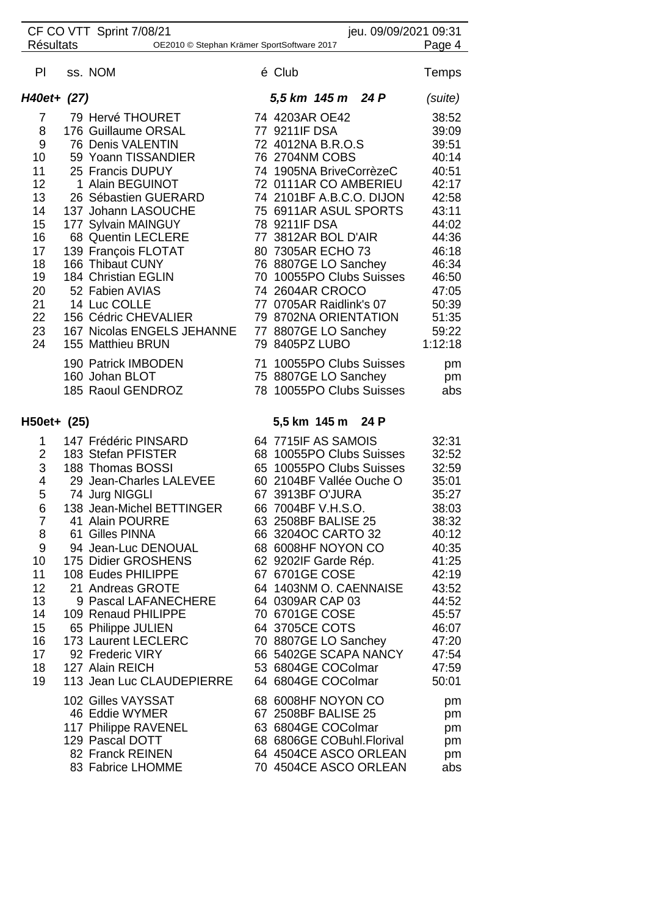| CF CO VTT Sprint 7/08/21                                                                                           |  |                                                                                                                                                                                                                                                                                                                                                                                                                                        | jeu. 09/09/2021 09:31 |                                                                                                                                                                                                                                                                                                                                                                                                                                               |                                                                                                                                                                         |
|--------------------------------------------------------------------------------------------------------------------|--|----------------------------------------------------------------------------------------------------------------------------------------------------------------------------------------------------------------------------------------------------------------------------------------------------------------------------------------------------------------------------------------------------------------------------------------|-----------------------|-----------------------------------------------------------------------------------------------------------------------------------------------------------------------------------------------------------------------------------------------------------------------------------------------------------------------------------------------------------------------------------------------------------------------------------------------|-------------------------------------------------------------------------------------------------------------------------------------------------------------------------|
| <b>Résultats</b><br>OE2010 © Stephan Krämer SportSoftware 2017                                                     |  |                                                                                                                                                                                                                                                                                                                                                                                                                                        |                       |                                                                                                                                                                                                                                                                                                                                                                                                                                               | Page 4                                                                                                                                                                  |
| PI.                                                                                                                |  | ss. NOM                                                                                                                                                                                                                                                                                                                                                                                                                                |                       | é Club                                                                                                                                                                                                                                                                                                                                                                                                                                        | Temps                                                                                                                                                                   |
| H40et+ (27)                                                                                                        |  |                                                                                                                                                                                                                                                                                                                                                                                                                                        |                       | 5,5 km 145 m 24 P                                                                                                                                                                                                                                                                                                                                                                                                                             | (suite)                                                                                                                                                                 |
| 7<br>8<br>9<br>10 <sup>°</sup><br>11<br>12<br>13<br>14<br>15<br>16<br>17<br>18<br>19<br>20<br>21<br>22<br>23<br>24 |  | 79 Hervé THOURET<br>176 Guillaume ORSAL<br>76 Denis VALENTIN<br>59 Yoann TISSANDIER<br>25 Francis DUPUY<br>1 Alain BEGUINOT<br>26 Sébastien GUERARD<br>137 Johann LASOUCHE<br>177 Sylvain MAINGUY<br>68 Quentin LECLERE<br>139 François FLOTAT<br>166 Thibaut CUNY<br>184 Christian EGLIN<br>52 Fabien AVIAS<br>14 Luc COLLE<br>156 Cédric CHEVALIER<br>167 Nicolas ENGELS JEHANNE<br>155 Matthieu BRUN                                |                       | 74 4203AR OE42<br>77 9211IF DSA<br>72 4012NA B.R.O.S<br>76 2704NM COBS<br>74 1905NA BriveCorrèzeC<br>72 0111AR CO AMBERIEU<br>74 2101BF A.B.C.O. DIJON<br>75 6911AR ASUL SPORTS<br>78 9211IF DSA<br>77 3812AR BOL D'AIR<br>80 7305AR ECHO 73<br>76 8807GE LO Sanchey<br>70 10055PO Clubs Suisses<br>74 2604AR CROCO<br>77 0705AR Raidlink's 07<br>79 8702NA ORIENTATION<br>77 8807GE LO Sanchey<br>79 8405PZ LUBO                             | 38:52<br>39:09<br>39:51<br>40:14<br>40:51<br>42:17<br>42:58<br>43:11<br>44:02<br>44:36<br>46:18<br>46:34<br>46:50<br>47:05<br>50:39<br>51:35<br>59:22<br>1:12:18        |
|                                                                                                                    |  | 190 Patrick IMBODEN<br>160 Johan BLOT<br>185 Raoul GENDROZ                                                                                                                                                                                                                                                                                                                                                                             |                       | 71 10055PO Clubs Suisses<br>75 8807GE LO Sanchey<br>78 10055PO Clubs Suisses                                                                                                                                                                                                                                                                                                                                                                  | pm<br>pm<br>abs                                                                                                                                                         |
| $H50et+ (25)$                                                                                                      |  |                                                                                                                                                                                                                                                                                                                                                                                                                                        |                       | 5,5 km 145 m 24 P                                                                                                                                                                                                                                                                                                                                                                                                                             |                                                                                                                                                                         |
| 1<br>$\overline{2}$<br>3<br>4<br>5<br>6<br>7<br>8<br>9<br>10<br>11<br>12<br>13<br>14<br>15<br>16<br>17<br>18<br>19 |  | 147 Frédéric PINSARD<br>183 Stefan PFISTER<br>188 Thomas BOSSI<br>29 Jean-Charles LALEVEE<br>74 Jurg NIGGLI<br>138 Jean-Michel BETTINGER<br>41 Alain POURRE<br>61 Gilles PINNA<br>94 Jean-Luc DENOUAL<br>175 Didier GROSHENS<br>108 Eudes PHILIPPE<br>21 Andreas GROTE<br>9 Pascal LAFANECHERE<br>109 Renaud PHILIPPE<br>65 Philippe JULIEN<br>173 Laurent LECLERC<br>92 Frederic VIRY<br>127 Alain REICH<br>113 Jean Luc CLAUDEPIERRE |                       | 64 7715IF AS SAMOIS<br>68 10055PO Clubs Suisses<br>65 10055PO Clubs Suisses<br>60 2104BF Vallée Ouche O<br>67 3913BF O'JURA<br>66 7004BF V.H.S.O.<br>63 2508BF BALISE 25<br>66 3204OC CARTO 32<br>68 6008HF NOYON CO<br>62 9202IF Garde Rép.<br>67 6701GE COSE<br>64 1403NM O. CAENNAISE<br>64 0309AR CAP 03<br>70 6701GE COSE<br>64 3705CE COTS<br>70 8807GE LO Sanchey<br>66 5402GE SCAPA NANCY<br>53 6804GE COColmar<br>64 6804GE COColmar | 32:31<br>32:52<br>32:59<br>35:01<br>35:27<br>38:03<br>38:32<br>40:12<br>40:35<br>41:25<br>42:19<br>43:52<br>44:52<br>45:57<br>46:07<br>47:20<br>47:54<br>47:59<br>50:01 |
|                                                                                                                    |  | 102 Gilles VAYSSAT<br>46 Eddie WYMER<br>117 Philippe RAVENEL<br>129 Pascal DOTT<br>82 Franck REINEN<br>83 Fabrice LHOMME                                                                                                                                                                                                                                                                                                               |                       | 68 6008HF NOYON CO<br>67 2508BF BALISE 25<br>63 6804GE COColmar<br>68 6806GE COBuhl.Florival<br>64 4504CE ASCO ORLEAN<br>70 4504CE ASCO ORLEAN                                                                                                                                                                                                                                                                                                | pm<br>pm<br>pm<br>pm<br>pm<br>abs                                                                                                                                       |